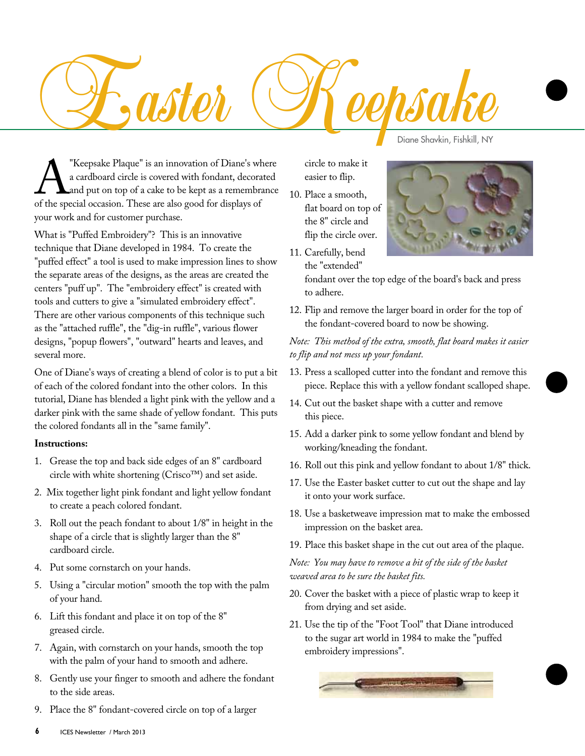

**A** "Keepsake Plaque" is an innovation of Diane's where a cardboard circle is covered with fondant, decorated and put on top of a cake to be kept as a remembrance of the special occasion. These are also good for displays o a cardboard circle is covered with fondant, decorated and put on top of a cake to be kept as a remembrance your work and for customer purchase. The Shavkin, Fishkill, NY<br>
The Shavkin, Fishkill, NY<br>
The Shavkin, Fishkill, NY<br>
The Shavkin, Fishkill, NY<br>
The Shavkin, Fishkill, NY<br>
The Shavkin, Fishkill, NY<br>
The Shavkin, Fishkill, NY<br>
The Shavkin, Fishkill, NY<br>
The Sh

What is "Puffed Embroidery"? This is an innovative technique that Diane developed in 1984. To create the "puffed effect" a tool is used to make impression lines to show the separate areas of the designs, as the areas are created the centers "puff up". The "embroidery effect" is created with tools and cutters to give a "simulated embroidery effect". There are other various components of this technique such as the "attached ruffle", the "dig-in ruffle", various flower designs, "popup flowers", "outward" hearts and leaves, and several more.

One of Diane's ways of creating a blend of color is to put a bit of each of the colored fondant into the other colors. In this tutorial, Diane has blended a light pink with the yellow and a darker pink with the same shade of yellow fondant. This puts the colored fondants all in the "same family".

## **Instructions:**

- 1. Grease the top and back side edges of an 8" cardboard circle with white shortening (Crisco™) and set aside.
- 2. Mix together light pink fondant and light yellow fondant to create a peach colored fondant.
- 3. Roll out the peach fondant to about 1/8" in height in the shape of a circle that is slightly larger than the 8" cardboard circle.
- 4. Put some cornstarch on your hands.
- 5. Using a "circular motion" smooth the top with the palm of your hand.
- 6. Lift this fondant and place it on top of the 8" greased circle.
- 7. Again, with cornstarch on your hands, smooth the top with the palm of your hand to smooth and adhere.
- 8. Gently use your finger to smooth and adhere the fondant to the side areas.
- 9. Place the 8" fondant-covered circle on top of a larger

circle to make it easier to flip.

10. Place a smooth, flat board on top of the 8" circle and flip the circle over.

11. Carefully, bend the "extended"

fondant over the top edge of the board's back and press to adhere.

12. Flip and remove the larger board in order for the top of the fondant-covered board to now be showing.

## *Note: This method of the extra, smooth, flat board makes it easier to flip and not mess up your fondant.*

- 13. Press a scalloped cutter into the fondant and remove this piece. Replace this with a yellow fondant scalloped shape.
- 14. Cut out the basket shape with a cutter and remove this piece.
- 15. Add a darker pink to some yellow fondant and blend by working/kneading the fondant.
- 16. Roll out this pink and yellow fondant to about 1/8" thick.
- 17. Use the Easter basket cutter to cut out the shape and lay it onto your work surface.
- 18. Use a basketweave impression mat to make the embossed impression on the basket area.
- 19. Place this basket shape in the cut out area of the plaque.

*Note: You may have to remove a bit of the side of the basket weaved area to be sure the basket fits.*

- 20. Cover the basket with a piece of plastic wrap to keep it from drying and set aside.
- 21. Use the tip of the "Foot Tool" that Diane introduced to the sugar art world in 1984 to make the "puffed embroidery impressions".